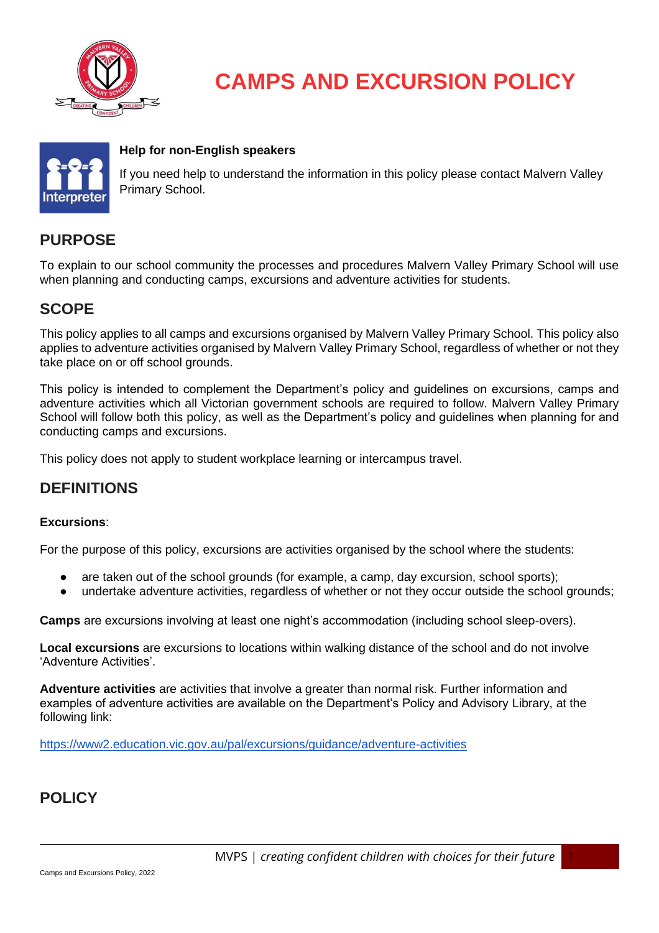

# **CAMPS AND EXCURSION POLICY**



#### **Help for non-English speakers**

If you need help to understand the information in this policy please contact Malvern Valley Primary School.

## **PURPOSE**

To explain to our school community the processes and procedures Malvern Valley Primary School will use when planning and conducting camps, excursions and adventure activities for students.

## **SCOPE**

This policy applies to all camps and excursions organised by Malvern Valley Primary School. This policy also applies to adventure activities organised by Malvern Valley Primary School, regardless of whether or not they take place on or off school grounds.

This policy is intended to complement the Department's policy and guidelines on excursions, camps and adventure activities which all Victorian government schools are required to follow. Malvern Valley Primary School will follow both this policy, as well as the Department's policy and quidelines when planning for and conducting camps and excursions.

This policy does not apply to student workplace learning or intercampus travel.

## **DEFINITIONS**

#### **Excursions**:

For the purpose of this policy, excursions are activities organised by the school where the students:

- are taken out of the school grounds (for example, a camp, day excursion, school sports);
- undertake adventure activities, regardless of whether or not they occur outside the school grounds;

**Camps** are excursions involving at least one night's accommodation (including school sleep-overs).

**Local excursions** are excursions to locations within walking distance of the school and do not involve 'Adventure Activities'.

**Adventure activities** are activities that involve a greater than normal risk. Further information and examples of adventure activities are available on the Department's Policy and Advisory Library, at the following link:

<https://www2.education.vic.gov.au/pal/excursions/guidance/adventure-activities>

# **POLICY**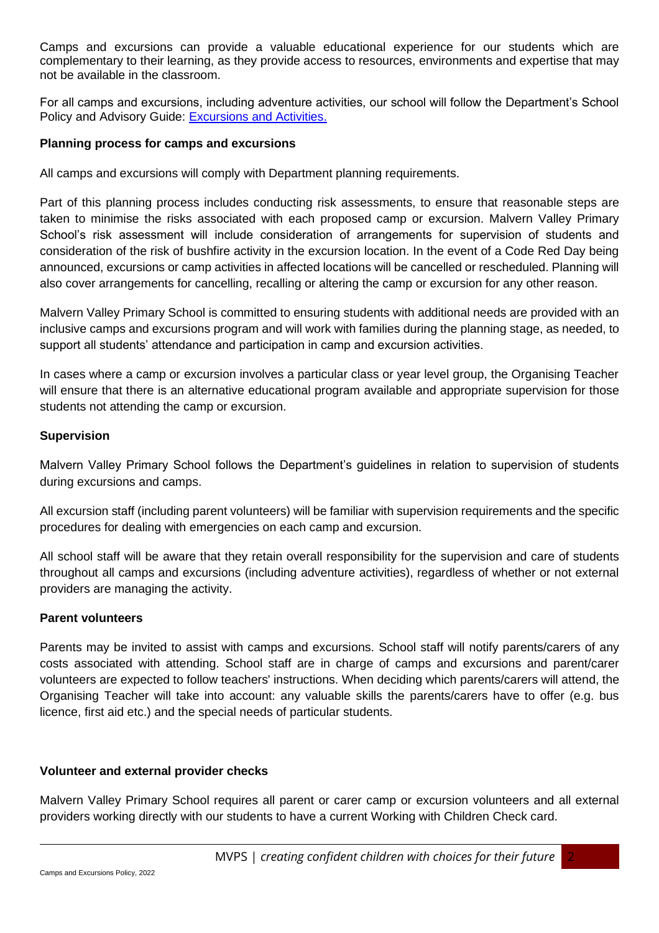Camps and excursions can provide a valuable educational experience for our students which are complementary to their learning, as they provide access to resources, environments and expertise that may not be available in the classroom.

For all camps and excursions, including adventure activities, our school will follow the Department's School Policy and Advisory Guide: [Excursions and Activities.](http://www.education.vic.gov.au/school/principals/spag/safety/pages/excursions.aspx)

#### **Planning process for camps and excursions**

All camps and excursions will comply with Department planning requirements.

Part of this planning process includes conducting risk assessments, to ensure that reasonable steps are taken to minimise the risks associated with each proposed camp or excursion. Malvern Valley Primary School's risk assessment will include consideration of arrangements for supervision of students and consideration of the risk of bushfire activity in the excursion location. In the event of a Code Red Day being announced, excursions or camp activities in affected locations will be cancelled or rescheduled. Planning will also cover arrangements for cancelling, recalling or altering the camp or excursion for any other reason.

Malvern Valley Primary School is committed to ensuring students with additional needs are provided with an inclusive camps and excursions program and will work with families during the planning stage, as needed, to support all students' attendance and participation in camp and excursion activities.

In cases where a camp or excursion involves a particular class or year level group, the Organising Teacher will ensure that there is an alternative educational program available and appropriate supervision for those students not attending the camp or excursion.

#### **Supervision**

Malvern Valley Primary School follows the Department's guidelines in relation to supervision of students during excursions and camps.

All excursion staff (including parent volunteers) will be familiar with supervision requirements and the specific procedures for dealing with emergencies on each camp and excursion.

All school staff will be aware that they retain overall responsibility for the supervision and care of students throughout all camps and excursions (including adventure activities), regardless of whether or not external providers are managing the activity.

#### **Parent volunteers**

Parents may be invited to assist with camps and excursions. School staff will notify parents/carers of any costs associated with attending. School staff are in charge of camps and excursions and parent/carer volunteers are expected to follow teachers' instructions. When deciding which parents/carers will attend, the Organising Teacher will take into account: any valuable skills the parents/carers have to offer (e.g. bus licence, first aid etc.) and the special needs of particular students.

#### **Volunteer and external provider checks**

Malvern Valley Primary School requires all parent or carer camp or excursion volunteers and all external providers working directly with our students to have a current Working with Children Check card.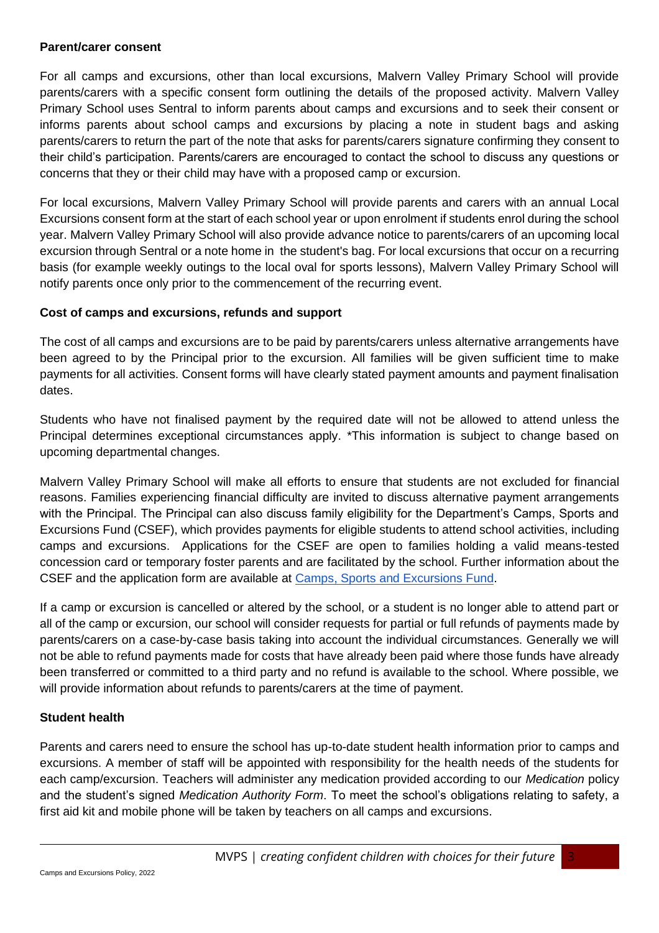#### **Parent/carer consent**

For all camps and excursions, other than local excursions, Malvern Valley Primary School will provide parents/carers with a specific consent form outlining the details of the proposed activity. Malvern Valley Primary School uses Sentral to inform parents about camps and excursions and to seek their consent or informs parents about school camps and excursions by placing a note in student bags and asking parents/carers to return the part of the note that asks for parents/carers signature confirming they consent to their child's participation. Parents/carers are encouraged to contact the school to discuss any questions or concerns that they or their child may have with a proposed camp or excursion.

For local excursions, Malvern Valley Primary School will provide parents and carers with an annual Local Excursions consent form at the start of each school year or upon enrolment if students enrol during the school year. Malvern Valley Primary School will also provide advance notice to parents/carers of an upcoming local excursion through Sentral or a note home in the student's bag. For local excursions that occur on a recurring basis (for example weekly outings to the local oval for sports lessons), Malvern Valley Primary School will notify parents once only prior to the commencement of the recurring event.

#### **Cost of camps and excursions, refunds and support**

The cost of all camps and excursions are to be paid by parents/carers unless alternative arrangements have been agreed to by the Principal prior to the excursion. All families will be given sufficient time to make payments for all activities. Consent forms will have clearly stated payment amounts and payment finalisation dates.

Students who have not finalised payment by the required date will not be allowed to attend unless the Principal determines exceptional circumstances apply. \*This information is subject to change based on upcoming departmental changes.

Malvern Valley Primary School will make all efforts to ensure that students are not excluded for financial reasons. Families experiencing financial difficulty are invited to discuss alternative payment arrangements with the Principal. The Principal can also discuss family eligibility for the Department's Camps, Sports and Excursions Fund (CSEF), which provides payments for eligible students to attend school activities, including camps and excursions. Applications for the CSEF are open to families holding a valid means-tested concession card or temporary foster parents and are facilitated by the school. Further information about the CSEF and the application form are available a[t](https://www2.education.vic.gov.au/pal/camps-sports-and-excursions-fund/policy) [Camps, Sports and Excursions Fund.](https://www2.education.vic.gov.au/pal/camps-sports-and-excursions-fund/policy)

If a camp or excursion is cancelled or altered by the school, or a student is no longer able to attend part or all of the camp or excursion, our school will consider requests for partial or full refunds of payments made by parents/carers on a case-by-case basis taking into account the individual circumstances. Generally we will not be able to refund payments made for costs that have already been paid where those funds have already been transferred or committed to a third party and no refund is available to the school. Where possible, we will provide information about refunds to parents/carers at the time of payment.

#### **Student health**

Parents and carers need to ensure the school has up-to-date student health information prior to camps and excursions. A member of staff will be appointed with responsibility for the health needs of the students for each camp/excursion. Teachers will administer any medication provided according to our *Medication* policy and the student's signed *Medication Authority Form*. To meet the school's obligations relating to safety, a first aid kit and mobile phone will be taken by teachers on all camps and excursions.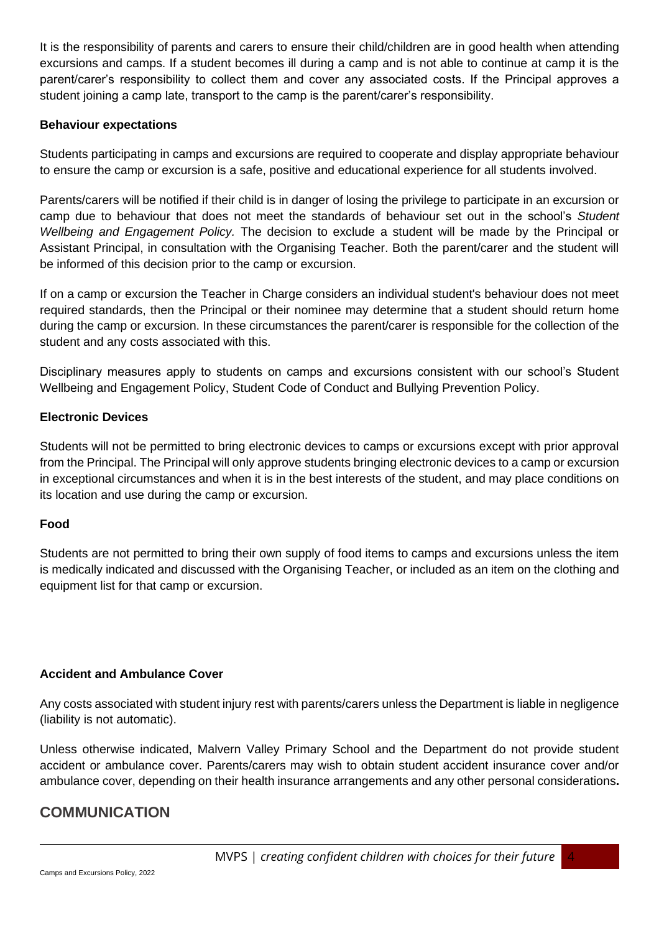It is the responsibility of parents and carers to ensure their child/children are in good health when attending excursions and camps. If a student becomes ill during a camp and is not able to continue at camp it is the parent/carer's responsibility to collect them and cover any associated costs. If the Principal approves a student joining a camp late, transport to the camp is the parent/carer's responsibility.

#### **Behaviour expectations**

Students participating in camps and excursions are required to cooperate and display appropriate behaviour to ensure the camp or excursion is a safe, positive and educational experience for all students involved.

Parents/carers will be notified if their child is in danger of losing the privilege to participate in an excursion or camp due to behaviour that does not meet the standards of behaviour set out in the school's *Student Wellbeing and Engagement Policy.* The decision to exclude a student will be made by the Principal or Assistant Principal, in consultation with the Organising Teacher. Both the parent/carer and the student will be informed of this decision prior to the camp or excursion.

If on a camp or excursion the Teacher in Charge considers an individual student's behaviour does not meet required standards, then the Principal or their nominee may determine that a student should return home during the camp or excursion. In these circumstances the parent/carer is responsible for the collection of the student and any costs associated with this.

Disciplinary measures apply to students on camps and excursions consistent with our school's Student Wellbeing and Engagement Policy, Student Code of Conduct and Bullying Prevention Policy.

#### **Electronic Devices**

Students will not be permitted to bring electronic devices to camps or excursions except with prior approval from the Principal. The Principal will only approve students bringing electronic devices to a camp or excursion in exceptional circumstances and when it is in the best interests of the student, and may place conditions on its location and use during the camp or excursion.

#### **Food**

Students are not permitted to bring their own supply of food items to camps and excursions unless the item is medically indicated and discussed with the Organising Teacher, or included as an item on the clothing and equipment list for that camp or excursion.

#### **Accident and Ambulance Cover**

Any costs associated with student injury rest with parents/carers unless the Department is liable in negligence (liability is not automatic).

Unless otherwise indicated, Malvern Valley Primary School and the Department do not provide student accident or ambulance cover. Parents/carers may wish to obtain student accident insurance cover and/or ambulance cover, depending on their health insurance arrangements and any other personal considerations**.** 

## **COMMUNICATION**